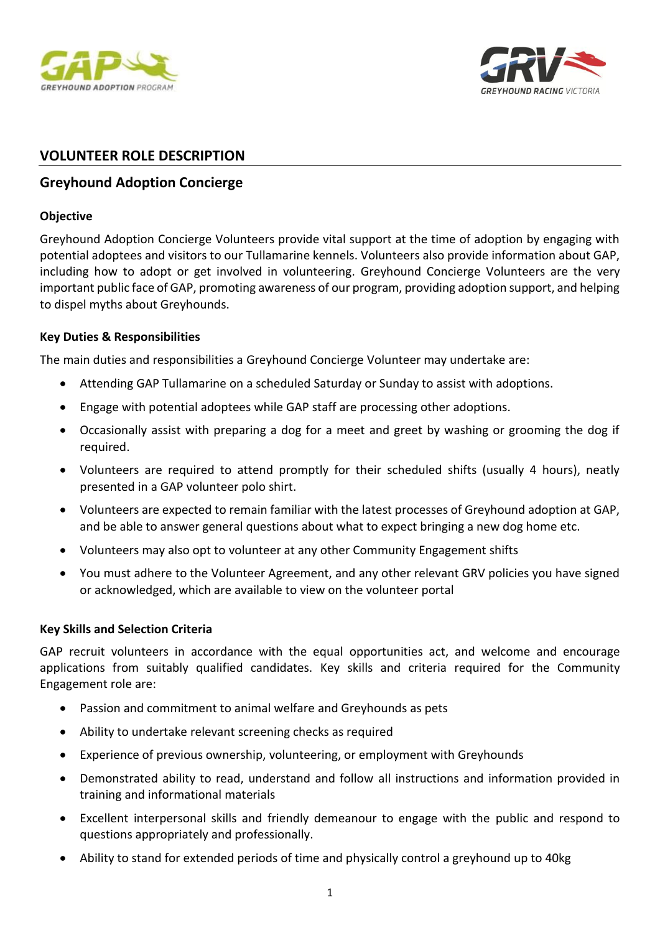



# **VOLUNTEER ROLE DESCRIPTION**

# **Greyhound Adoption Concierge**

#### **Objective**

Greyhound Adoption Concierge Volunteers provide vital support at the time of adoption by engaging with potential adoptees and visitors to our Tullamarine kennels. Volunteers also provide information about GAP, including how to adopt or get involved in volunteering. Greyhound Concierge Volunteers are the very important public face of GAP, promoting awareness of our program, providing adoption support, and helping to dispel myths about Greyhounds.

### **Key Duties & Responsibilities**

The main duties and responsibilities a Greyhound Concierge Volunteer may undertake are:

- Attending GAP Tullamarine on a scheduled Saturday or Sunday to assist with adoptions.
- Engage with potential adoptees while GAP staff are processing other adoptions.
- Occasionally assist with preparing a dog for a meet and greet by washing or grooming the dog if required.
- Volunteers are required to attend promptly for their scheduled shifts (usually 4 hours), neatly presented in a GAP volunteer polo shirt.
- Volunteers are expected to remain familiar with the latest processes of Greyhound adoption at GAP, and be able to answer general questions about what to expect bringing a new dog home etc.
- Volunteers may also opt to volunteer at any other Community Engagement shifts
- You must adhere to the Volunteer Agreement, and any other relevant GRV policies you have signed or acknowledged, which are available to view on the volunteer portal

### **Key Skills and Selection Criteria**

GAP recruit volunteers in accordance with the equal opportunities act, and welcome and encourage applications from suitably qualified candidates. Key skills and criteria required for the Community Engagement role are:

- Passion and commitment to animal welfare and Greyhounds as pets
- Ability to undertake relevant screening checks as required
- Experience of previous ownership, volunteering, or employment with Greyhounds
- Demonstrated ability to read, understand and follow all instructions and information provided in training and informational materials
- Excellent interpersonal skills and friendly demeanour to engage with the public and respond to questions appropriately and professionally.
- Ability to stand for extended periods of time and physically control a greyhound up to 40kg